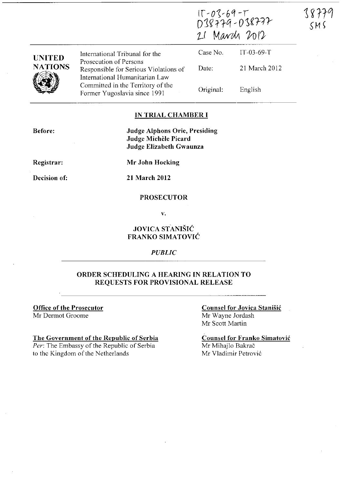| <b>UNITED</b><br><b>NATIONS</b> | International Tribunal for the                                                                    | $11 - 0.5 - 64 - 1$<br>038779-038777<br>21 March 2012 |               |
|---------------------------------|---------------------------------------------------------------------------------------------------|-------------------------------------------------------|---------------|
|                                 |                                                                                                   | Case No.                                              | $IT-03-69-T$  |
|                                 | Prosecution of Persons<br>Responsible for Serious Violations of<br>International Humanitarian Law | Date:                                                 | 21 March 2012 |
|                                 | Committed in the Territory of the<br>Former Yugoslavia since 1991                                 | Original:                                             | English       |

 $\overline{a}$ 

## **IN TRIAL CHAMBER I**

**Before:** 

**Judge Alphons Orie, Presiding Judge Michèle Picard Judge Elizabeth Gwaunza** 

**Registrar:** 

**Decision of:** 

**Mr John Hocking** 

**21 March 2012** 

### **PROSECUTOR**

v.

# **JOVICA STANISIC FRANKO SIMATOVIC**

*PUBLIC* 

## **ORDER SCHEDULING A HEARING IN RELATION TO REQUESTS FOR PROVISIONAL RELEASE**

**Office of the Prosecutor**  Mr Dermot Groome

**The Government of the Republic of Serbia**  *Per:* The Embassy of the Republic of Serbia to the Kingdom of the Netherlands

#### **Counsel for Jovica StaniSic**  Mr Wayne Jordash

Mr Scott Martin

**Counsel for Franko Simatovic**  Mr Mihajlo Bakrač Mr Vladimir Petrovic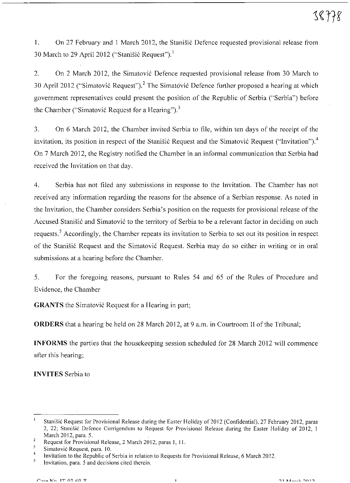1. On 27 February and 1 March 2012, the Stanišić Defence requested provisional release from 30 March to 29 April 2012 ("Stanišić Request").<sup>1</sup>

2. On 2 March 2012, the Simatović Defence requested provisional release from 30 March to 30 April 2012 ("Simatović Request").<sup>2</sup> The Simatović Defence further proposed a hearing at which government representatives could present the position of the Republic of Serbia ("Serbia") before the Chamber ("Simatović Request for a Hearing").<sup>3</sup>

3. On 6 March 2012, the Chamber invited Serbia to file, within ten days of the receipt of the invitation, its position in respect of the Stanisic Request and the Simatovic Request ("Invitation").<sup>4</sup> On 7 March 2012, the Registry notified the Chamber in an informal communication that Serbia had received the Invitation on that day.

4. Serbia has not filed any submissions in response to the Invitation. The Chamber has not received any information regarding the reasons for the absence of a Serbian response. As noted in the Invitation, the Chamber considers Serbia's position on the requests for provisional release of the Accused Stanišić and Simatović to the territory of Serbia to be a relevant factor in deciding on such requests.<sup>5</sup> Accordingly, the Chamber repeats its invitation to Serbia to set out its position in respect of the Stanišić Request and the Simatović Request. Serbia may do so either in writing or in oral submissions at a hearing before the Chamber.

5. For the foregoing reasons, pursuant to Rules 54 and 65 of the Rules of Procedure and Evidence, the Chamber

**GRANTS** the Simatović Request for a Hearing in part;

**ORDERS** that a hearing be held on 28 March 2012, at 9 a.m. in Courtroom II of the Tribunal;

**INFORMS** the parties that the housekeeping session scheduled for 28 March 2012 will commence after this hearing;

**INVITES** Serbia to

 $\mathfrak{t}$ Stanišić Request for Provisional Release during the Easter Holiday of 2012 (Confidential), 27 February 2012, paras 2, 22; Stanisic Defence Corrigendum to Request for Provisional Release during the Easter Holiday of 2012, I March 2012, para. 5.

Request for Provisional Release, 2 March 2012, paras I, 11.

 $\overline{3}$ **Simatovic Request, para. 10.** 

 $\overline{4}$ Invitation to the Republic of Serbia in relation to Requests for Provisional Release, 6 March 2012.

 $\mathfrak s$ **Invitation, para. 5 and decisions cited therein.**